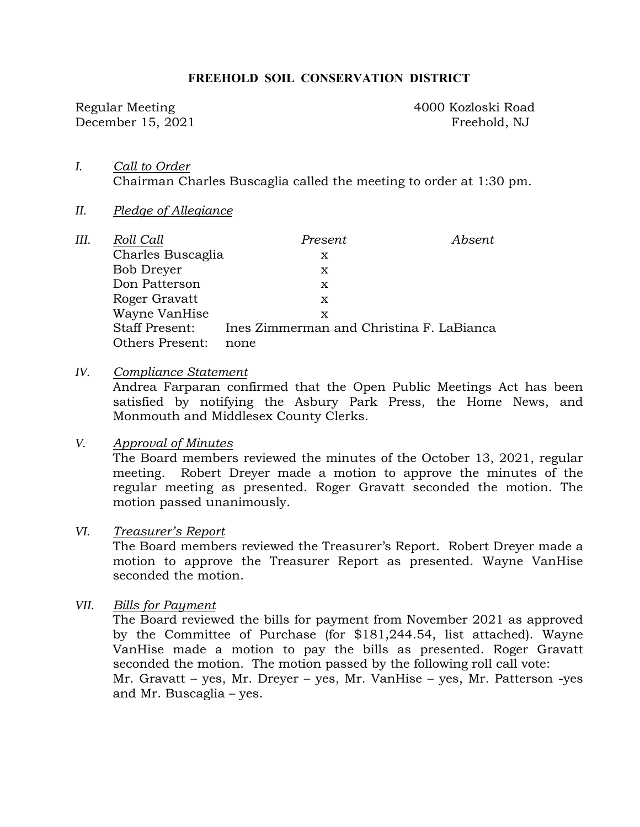#### **FREEHOLD SOIL CONSERVATION DISTRICT**

December 15, 2021 Freehold, NJ

Regular Meeting 4000 Kozloski Road

- *I. Call to Order*  Chairman Charles Buscaglia called the meeting to order at 1:30 pm.
- *II. Pledge of Allegiance*

| III. | Roll Call             | Present                                  | Absent |
|------|-----------------------|------------------------------------------|--------|
|      | Charles Buscaglia     | x                                        |        |
|      | Bob Dreyer            | X                                        |        |
|      | Don Patterson         | x                                        |        |
|      | Roger Gravatt         | x                                        |        |
|      | Wayne VanHise         | x                                        |        |
|      | <b>Staff Present:</b> | Ines Zimmerman and Christina F. LaBianca |        |
|      | Others Present:       | none                                     |        |

*IV. Compliance Statement* 

Andrea Farparan confirmed that the Open Public Meetings Act has been satisfied by notifying the Asbury Park Press, the Home News, and Monmouth and Middlesex County Clerks.

#### *V. Approval of Minutes*

The Board members reviewed the minutes of the October 13, 2021, regular meeting. Robert Dreyer made a motion to approve the minutes of the regular meeting as presented. Roger Gravatt seconded the motion. The motion passed unanimously.

## *VI. Treasurer's Report*

The Board members reviewed the Treasurer's Report. Robert Dreyer made a motion to approve the Treasurer Report as presented. Wayne VanHise seconded the motion.

*VII. Bills for Payment* 

The Board reviewed the bills for payment from November 2021 as approved by the Committee of Purchase (for \$181,244.54, list attached). Wayne VanHise made a motion to pay the bills as presented. Roger Gravatt seconded the motion. The motion passed by the following roll call vote: Mr. Gravatt – yes, Mr. Dreyer – yes, Mr. VanHise – yes, Mr. Patterson -yes and Mr. Buscaglia – yes.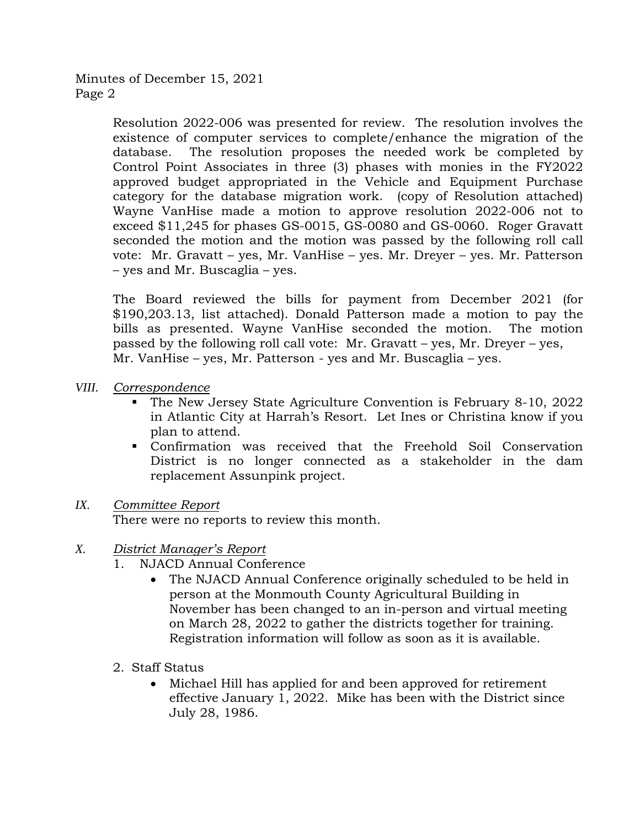Minutes of December 15, 2021 Page 2

> Resolution 2022-006 was presented for review. The resolution involves the existence of computer services to complete/enhance the migration of the database. The resolution proposes the needed work be completed by Control Point Associates in three (3) phases with monies in the FY2022 approved budget appropriated in the Vehicle and Equipment Purchase category for the database migration work. (copy of Resolution attached) Wayne VanHise made a motion to approve resolution 2022-006 not to exceed \$11,245 for phases GS-0015, GS-0080 and GS-0060. Roger Gravatt seconded the motion and the motion was passed by the following roll call vote: Mr. Gravatt – yes, Mr. VanHise – yes. Mr. Dreyer – yes. Mr. Patterson – yes and Mr. Buscaglia – yes.

> The Board reviewed the bills for payment from December 2021 (for \$190,203.13, list attached). Donald Patterson made a motion to pay the bills as presented. Wayne VanHise seconded the motion. The motion passed by the following roll call vote: Mr. Gravatt – yes, Mr. Dreyer – yes, Mr. VanHise – yes, Mr. Patterson - yes and Mr. Buscaglia – yes.

- *VIII. Correspondence* 
	- The New Jersey State Agriculture Convention is February 8-10, 2022 in Atlantic City at Harrah's Resort. Let Ines or Christina know if you plan to attend.
	- Confirmation was received that the Freehold Soil Conservation District is no longer connected as a stakeholder in the dam replacement Assunpink project.

## *IX. Committee Report*

There were no reports to review this month.

- *X. District Manager's Report* 
	- 1. NJACD Annual Conference
		- The NJACD Annual Conference originally scheduled to be held in person at the Monmouth County Agricultural Building in November has been changed to an in-person and virtual meeting on March 28, 2022 to gather the districts together for training. Registration information will follow as soon as it is available.
	- 2. Staff Status
		- Michael Hill has applied for and been approved for retirement effective January 1, 2022. Mike has been with the District since July 28, 1986.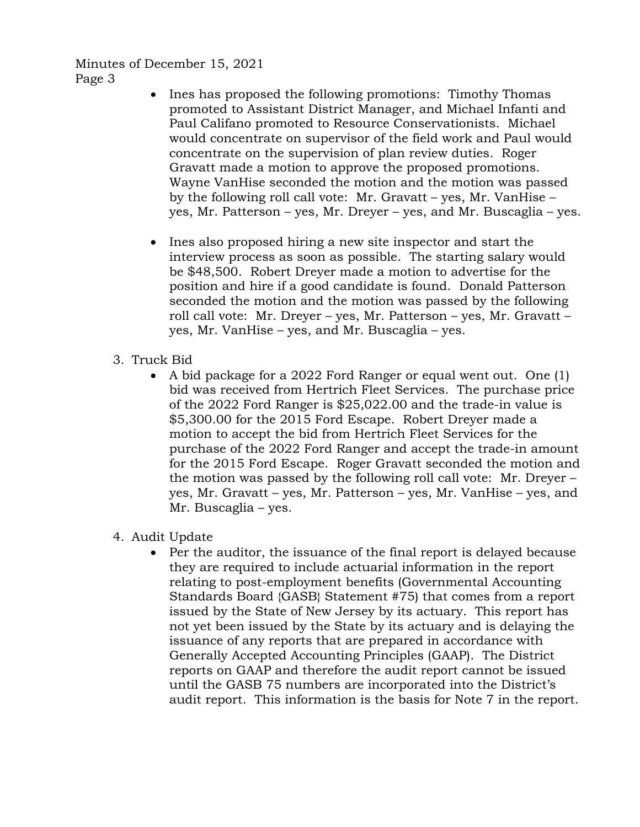Minutes of December 15, 2021 Page 3

- Ines has proposed the following promotions: Timothy Thomas promoted to Assistant District Manager, and Michael Infanti and Paul Califano promoted to Resource Conservationists. Michael would concentrate on supervisor of the field work and Paul would concentrate on the supervision of plan review duties. Roger Gravatt made a motion to approve the proposed promotions. Wayne VanHise seconded the motion and the motion was passed by the following roll call vote: Mr. Gravatt – yes, Mr. VanHise – yes, Mr. Patterson – yes, Mr. Dreyer – yes, and Mr. Buscaglia – yes.
- Ines also proposed hiring a new site inspector and start the interview process as soon as possible. The starting salary would be \$48,500. Robert Dreyer made a motion to advertise for the position and hire if a good candidate is found. Donald Patterson seconded the motion and the motion was passed by the following roll call vote: Mr. Dreyer – yes, Mr. Patterson – yes, Mr. Gravatt – yes, Mr. VanHise – yes, and Mr. Buscaglia – yes.
- 3. Truck Bid
	- A bid package for a 2022 Ford Ranger or equal went out. One (1) bid was received from Hertrich Fleet Services. The purchase price of the 2022 Ford Ranger is \$25,022.00 and the trade-in value is \$5,300.00 for the 2015 Ford Escape. Robert Dreyer made a motion to accept the bid from Hertrich Fleet Services for the purchase of the 2022 Ford Ranger and accept the trade-in amount for the 2015 Ford Escape. Roger Gravatt seconded the motion and the motion was passed by the following roll call vote: Mr. Dreyer – yes, Mr. Gravatt – yes, Mr. Patterson – yes, Mr. VanHise – yes, and Mr. Buscaglia – yes.
- 4. Audit Update
	- Per the auditor, the issuance of the final report is delayed because they are required to include actuarial information in the report relating to post-employment benefits (Governmental Accounting Standards Board {GASB} Statement #75) that comes from a report issued by the State of New Jersey by its actuary. This report has not yet been issued by the State by its actuary and is delaying the issuance of any reports that are prepared in accordance with Generally Accepted Accounting Principles (GAAP). The District reports on GAAP and therefore the audit report cannot be issued until the GASB 75 numbers are incorporated into the District's audit report. This information is the basis for Note 7 in the report.